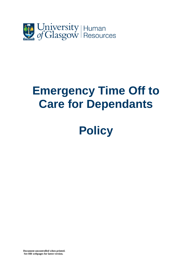

## **Emergency Time Off to Care for Dependants**

# **Policy**

**Document uncontrolled when printed. See HR webpages for latest version.**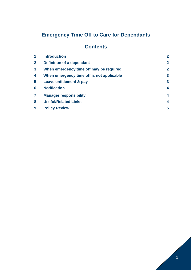### **Emergency Time Off to Care for Dependants**

#### **Contents**

|              | <b>Introduction</b>                       | $\overline{2}$ |
|--------------|-------------------------------------------|----------------|
| $\mathbf{2}$ | <b>Definition of a dependant</b>          | $\overline{2}$ |
| $\mathbf{3}$ | When emergency time off may be required   | $\overline{2}$ |
| 4            | When emergency time off is not applicable | $\overline{3}$ |
| 5            | Leave entitlement & pay                   | $\overline{3}$ |
| 6            | <b>Notification</b>                       | 4              |
| 7            | <b>Manager responsibility</b>             | 4              |
| 8            | <b>Useful/Related Links</b>               | 4              |
| 9            | <b>Policy Review</b>                      | 5              |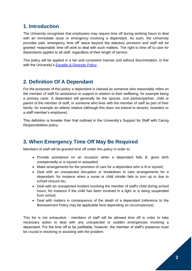#### **1. Introduction**

The University recognises that employees may require time off during working hours to deal with an immediate issue or emergency involving a dependant. As such, the University provides paid 'emergency time off' leave beyond the statutory provision and staff will be granted 'reasonable' time off work to deal with such matters. The right to time off to care for dependants applies to all staff, regardless of their length of service.

This policy will be applied in a fair and consistent manner and without discrimination, in line with the University's [Equality & Diversity Policy.](https://www.gla.ac.uk/myglasgow/humanresources/equalitydiversity/policy/equalitypolicy/)

#### **2. Definition Of A Dependant**

For the purposes of this policy a dependant is classed as someone who reasonably relies on the member of staff for assistance or support in relation to their wellbeing, for example being a primary carer. A dependant will generally be the spouse, civil partner/partner, child or parent of the member of staff, or someone who lives with the member of staff as part of their family, for example an elderly relative (although this does not extend to tenants, boarders or a staff member's employee).

This definition is broader than that outlined in the University's Support for Staff with Caring Responsibilities policy.

#### **3. When Emergency Time Off May Be Required**

Members of staff will be granted time off under this policy in order to:

- Provide assistance on an occasion when a dependant falls ill, gives birth unexpectedly or is injured or assaulted;
- Make arrangements for the provision of care for a dependant who is ill or injured;
- Deal with an unexpected disruption or breakdown in care arrangements for a dependant, for instance when a nurse or child minder fails to turn up or due to school closure etc;
- Deal with an unexpected incident involving the member of staff's child during school hours, for instance if the child has been involved in a fight or is being suspended from school;
- Deal with matters in consequence of the death of a dependant (reference to the Bereavement Policy may be applicable here depending on circumstances).

This list is not exhaustive - members of staff will be allowed time off in order to take necessary action to deal with any unexpected or sudden emergencies involving a dependant. For the time off to be justifiable, however, the member of staff's presence must be crucial in resolving or assisting with the problem.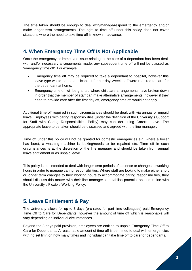The time taken should be enough to deal with/manage/respond to the emergency and/or make longer-term arrangements. The right to time off under this policy does not cover situations where the need to take time off is known in advance.

#### **4. When Emergency Time Off Is Not Applicable**

Once the emergency or immediate issue relating to the care of a dependant has been dealt with and/or necessary arrangements made, any subsequent time off will not be classed as 'emergency time off'. For example:

- Emergency time off may be required to take a dependant to hospital, however this leave type would not be applicable if further days/weeks off were required to care for the dependant at home;
- Emergency time off will be granted where childcare arrangements have broken down in order that the member of staff can make alternative arrangements, however if they need to provide care after the first day off, emergency time off would not apply.

Additional time off required in such circumstances should be dealt with via annual or unpaid leave. Employees with caring responsibilities (under the definition of the University's Support for Staff with Caring Responsibilities Policy) may consider using Carers Leave. The appropriate leave to be taken should be discussed and agreed with the line manager.

Time off under this policy will not be granted for domestic emergencies e.g. where a boiler has burst, a washing machine is leaking/needs to be repaired etc. Time off in such circumstances is at the discretion of the line manager and should be taken from annual leave entitlement or as unpaid leave.

This policy is not intended to deal with longer term periods of absence or changes to working hours in order to manage caring responsibilities. Where staff are looking to make either short or longer term changes to their working hours to accommodate caring responsibilities, they should discuss this matter with their line manager to establish potential options in line with the University's Flexible Working Policy.

#### **5. Leave Entitlement & Pay**

The University allows for up to 3 days (pro-rated for part time colleagues) paid Emergency Time Off to Care for Dependants, however the amount of time off which is reasonable will vary depending on individual circumstances.

Beyond the 3 days paid provision, employees are entitled to unpaid Emergency Time Off to Care for Dependants. A reasonable amount of time off is permitted to deal with emergencies with no set limit on how many times and individual can take time off to care for dependants.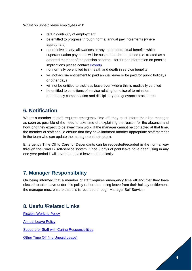Whilst on unpaid leave employees will:

- retain continuity of employment
- be entitled to progress through normal annual pay increments (where appropriate)
- not receive salary, allowances or any other contractual benefits whilst superannuation payments will be suspended for the period (i.e. treated as a deferred member of the pension scheme – for further information on pension implications please contact [Payroll\)](http://www.gla.ac.uk/services/finance/payandpensions/contactdetails/#payroll)
- not normally be entitled to ill-health and death in service benefits
- will not accrue entitlement to paid annual leave or be paid for public holidays or other days
- will not be entitled to sickness leave even where this is medically certified
- be entitled to conditions of service relating to notice of termination, redundancy compensation and disciplinary and grievance procedures

#### **6. Notification**

Where a member of staff requires emergency time off, they must inform their line manager as soon as possible of the need to take time off, explaining the reason for the absence and how long they expect to be away from work. If the manager cannot be contacted at that time, the member of staff should ensure that they have informed another appropriate staff member in the team who can update the manager on their return.

Emergency Time Off to Care for Dependants can be requested/recorded in the normal way through the CoreHR self-service system. Once 3 days of paid leave have been using in any one year period it will revert to unpaid leave automatically.

#### **7. Manager Responsibility**

On being informed that a member of staff requires emergency time off and that they have elected to take leave under this policy rather than using leave from their holiday entitlement, the manager must ensure that this is recorded through Manager Self Service.

#### **8. Useful/Related Links**

[Flexible Working Policy](https://www.gla.ac.uk/myglasgow/humanresources/all/worklife/flexibleworking/) [Annual Leave Policy](https://www.gla.ac.uk/myglasgow/humanresources/all/worklife/leave/annualleave/) [Support for Staff with Caring Responsibilities](https://www.gla.ac.uk/myglasgow/humanresources/all/health/carerspolicy) [Other Time Off \(inc Unpaid Leave\)](https://www.gla.ac.uk/myglasgow/humanresources/all/worklife/leave/otherleavetimeoff/)